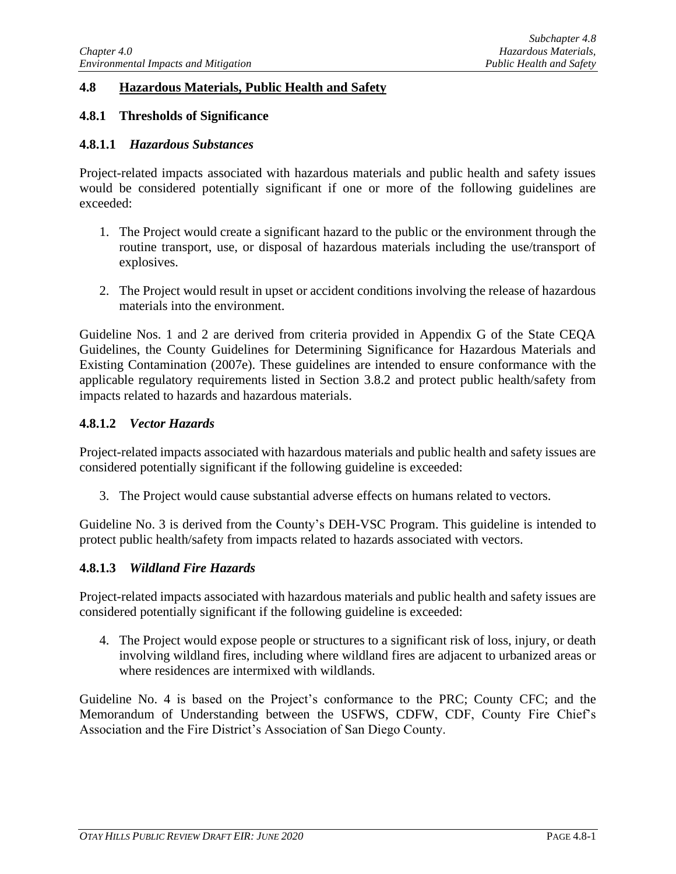# **4.8 Hazardous Materials, Public Health and Safety**

# **4.8.1 Thresholds of Significance**

## **4.8.1.1** *Hazardous Substances*

Project-related impacts associated with hazardous materials and public health and safety issues would be considered potentially significant if one or more of the following guidelines are exceeded:

- 1. The Project would create a significant hazard to the public or the environment through the routine transport, use, or disposal of hazardous materials including the use/transport of explosives.
- 2. The Project would result in upset or accident conditions involving the release of hazardous materials into the environment.

Guideline Nos. 1 and 2 are derived from criteria provided in Appendix G of the State CEQA Guidelines, the County Guidelines for Determining Significance for Hazardous Materials and Existing Contamination (2007e). These guidelines are intended to ensure conformance with the applicable regulatory requirements listed in Section 3.8.2 and protect public health/safety from impacts related to hazards and hazardous materials.

## **4.8.1.2** *Vector Hazards*

Project-related impacts associated with hazardous materials and public health and safety issues are considered potentially significant if the following guideline is exceeded:

3. The Project would cause substantial adverse effects on humans related to vectors.

Guideline No. 3 is derived from the County's DEH-VSC Program. This guideline is intended to protect public health/safety from impacts related to hazards associated with vectors.

# **4.8.1.3** *Wildland Fire Hazards*

Project-related impacts associated with hazardous materials and public health and safety issues are considered potentially significant if the following guideline is exceeded:

4. The Project would expose people or structures to a significant risk of loss, injury, or death involving wildland fires, including where wildland fires are adjacent to urbanized areas or where residences are intermixed with wildlands.

Guideline No. 4 is based on the Project's conformance to the PRC; County CFC; and the Memorandum of Understanding between the USFWS, CDFW, CDF, County Fire Chief's Association and the Fire District's Association of San Diego County.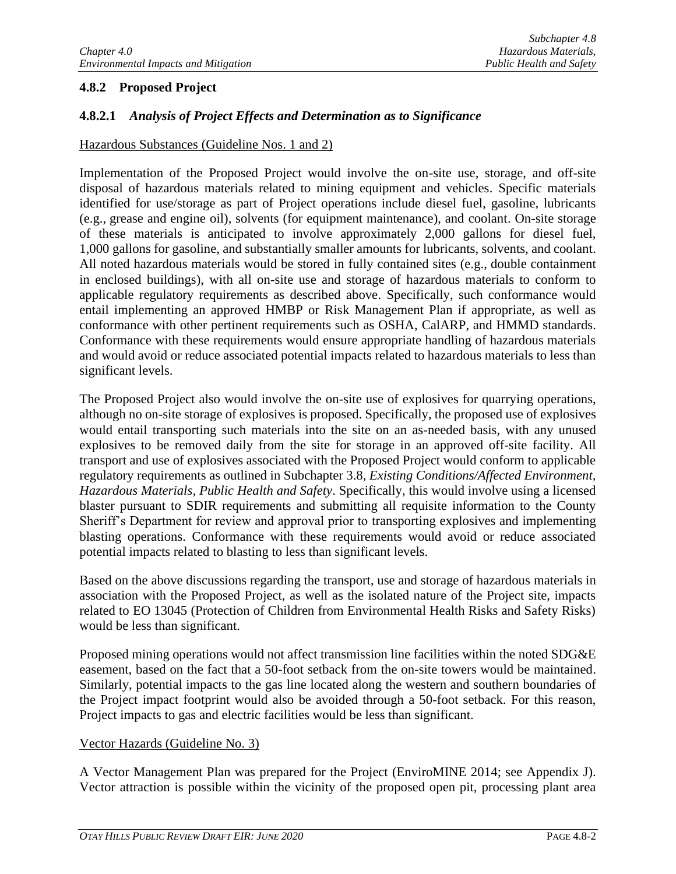# **4.8.2 Proposed Project**

# **4.8.2.1** *Analysis of Project Effects and Determination as to Significance*

## Hazardous Substances (Guideline Nos. 1 and 2)

Implementation of the Proposed Project would involve the on-site use, storage, and off-site disposal of hazardous materials related to mining equipment and vehicles. Specific materials identified for use/storage as part of Project operations include diesel fuel, gasoline, lubricants (e.g., grease and engine oil), solvents (for equipment maintenance), and coolant. On-site storage of these materials is anticipated to involve approximately 2,000 gallons for diesel fuel, 1,000 gallons for gasoline, and substantially smaller amounts for lubricants, solvents, and coolant. All noted hazardous materials would be stored in fully contained sites (e.g., double containment in enclosed buildings), with all on-site use and storage of hazardous materials to conform to applicable regulatory requirements as described above. Specifically, such conformance would entail implementing an approved HMBP or Risk Management Plan if appropriate, as well as conformance with other pertinent requirements such as OSHA, CalARP, and HMMD standards. Conformance with these requirements would ensure appropriate handling of hazardous materials and would avoid or reduce associated potential impacts related to hazardous materials to less than significant levels.

The Proposed Project also would involve the on-site use of explosives for quarrying operations, although no on-site storage of explosives is proposed. Specifically, the proposed use of explosives would entail transporting such materials into the site on an as-needed basis, with any unused explosives to be removed daily from the site for storage in an approved off-site facility. All transport and use of explosives associated with the Proposed Project would conform to applicable regulatory requirements as outlined in Subchapter 3.8, *Existing Conditions/Affected Environment, Hazardous Materials, Public Health and Safety*. Specifically, this would involve using a licensed blaster pursuant to SDIR requirements and submitting all requisite information to the County Sheriff's Department for review and approval prior to transporting explosives and implementing blasting operations. Conformance with these requirements would avoid or reduce associated potential impacts related to blasting to less than significant levels.

Based on the above discussions regarding the transport, use and storage of hazardous materials in association with the Proposed Project, as well as the isolated nature of the Project site, impacts related to EO 13045 (Protection of Children from Environmental Health Risks and Safety Risks) would be less than significant.

Proposed mining operations would not affect transmission line facilities within the noted SDG&E easement, based on the fact that a 50-foot setback from the on-site towers would be maintained. Similarly, potential impacts to the gas line located along the western and southern boundaries of the Project impact footprint would also be avoided through a 50-foot setback. For this reason, Project impacts to gas and electric facilities would be less than significant.

# Vector Hazards (Guideline No. 3)

A Vector Management Plan was prepared for the Project (EnviroMINE 2014; see Appendix J). Vector attraction is possible within the vicinity of the proposed open pit, processing plant area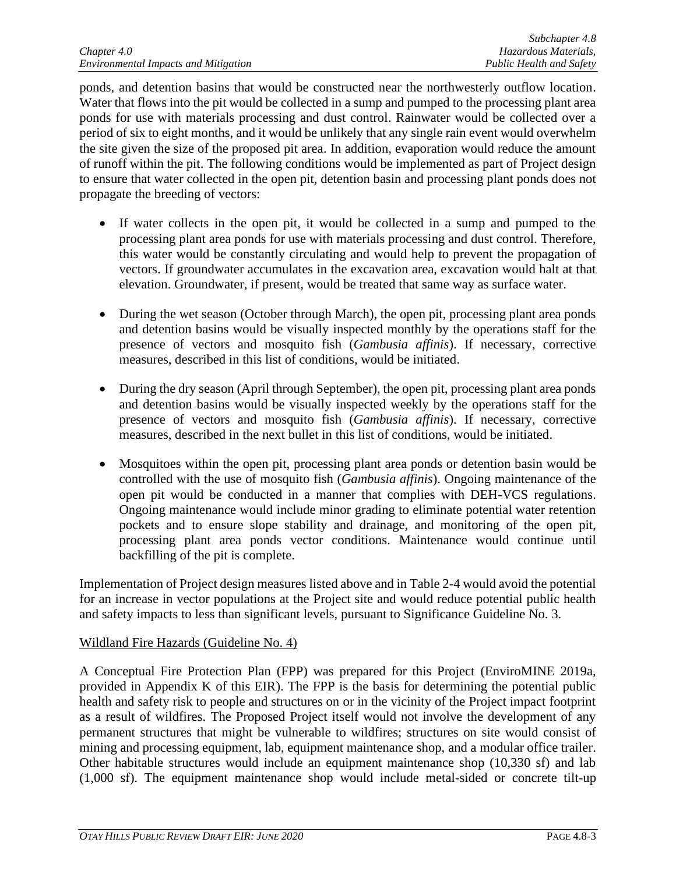ponds, and detention basins that would be constructed near the northwesterly outflow location. Water that flows into the pit would be collected in a sump and pumped to the processing plant area ponds for use with materials processing and dust control. Rainwater would be collected over a period of six to eight months, and it would be unlikely that any single rain event would overwhelm the site given the size of the proposed pit area. In addition, evaporation would reduce the amount of runoff within the pit. The following conditions would be implemented as part of Project design to ensure that water collected in the open pit, detention basin and processing plant ponds does not propagate the breeding of vectors:

- If water collects in the open pit, it would be collected in a sump and pumped to the processing plant area ponds for use with materials processing and dust control. Therefore, this water would be constantly circulating and would help to prevent the propagation of vectors. If groundwater accumulates in the excavation area, excavation would halt at that elevation. Groundwater, if present, would be treated that same way as surface water.
- During the wet season (October through March), the open pit, processing plant area ponds and detention basins would be visually inspected monthly by the operations staff for the presence of vectors and mosquito fish (*Gambusia affinis*). If necessary, corrective measures, described in this list of conditions, would be initiated.
- During the dry season (April through September), the open pit, processing plant area ponds and detention basins would be visually inspected weekly by the operations staff for the presence of vectors and mosquito fish (*Gambusia affinis*). If necessary, corrective measures, described in the next bullet in this list of conditions, would be initiated.
- Mosquitoes within the open pit, processing plant area ponds or detention basin would be controlled with the use of mosquito fish (*Gambusia affinis*). Ongoing maintenance of the open pit would be conducted in a manner that complies with DEH-VCS regulations. Ongoing maintenance would include minor grading to eliminate potential water retention pockets and to ensure slope stability and drainage, and monitoring of the open pit, processing plant area ponds vector conditions. Maintenance would continue until backfilling of the pit is complete.

Implementation of Project design measures listed above and in Table 2-4 would avoid the potential for an increase in vector populations at the Project site and would reduce potential public health and safety impacts to less than significant levels, pursuant to Significance Guideline No. 3.

# Wildland Fire Hazards (Guideline No. 4)

A Conceptual Fire Protection Plan (FPP) was prepared for this Project (EnviroMINE 2019a, provided in Appendix K of this EIR). The FPP is the basis for determining the potential public health and safety risk to people and structures on or in the vicinity of the Project impact footprint as a result of wildfires. The Proposed Project itself would not involve the development of any permanent structures that might be vulnerable to wildfires; structures on site would consist of mining and processing equipment, lab, equipment maintenance shop, and a modular office trailer. Other habitable structures would include an equipment maintenance shop (10,330 sf) and lab (1,000 sf). The equipment maintenance shop would include metal-sided or concrete tilt-up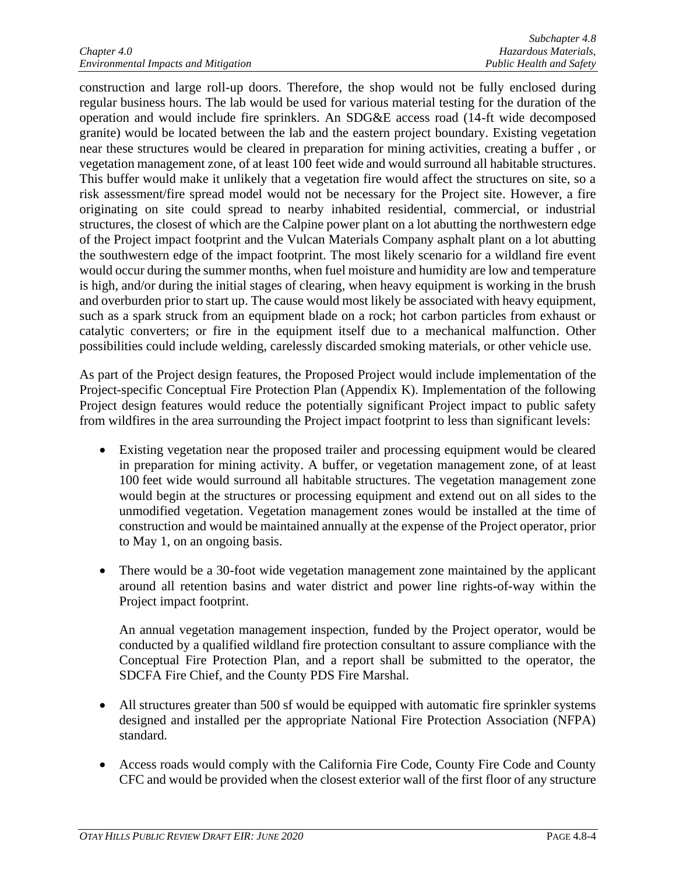construction and large roll-up doors. Therefore, the shop would not be fully enclosed during regular business hours. The lab would be used for various material testing for the duration of the operation and would include fire sprinklers. An SDG&E access road (14-ft wide decomposed granite) would be located between the lab and the eastern project boundary. Existing vegetation near these structures would be cleared in preparation for mining activities, creating a buffer , or vegetation management zone, of at least 100 feet wide and would surround all habitable structures. This buffer would make it unlikely that a vegetation fire would affect the structures on site, so a risk assessment/fire spread model would not be necessary for the Project site. However, a fire originating on site could spread to nearby inhabited residential, commercial, or industrial structures, the closest of which are the Calpine power plant on a lot abutting the northwestern edge of the Project impact footprint and the Vulcan Materials Company asphalt plant on a lot abutting the southwestern edge of the impact footprint. The most likely scenario for a wildland fire event would occur during the summer months, when fuel moisture and humidity are low and temperature is high, and/or during the initial stages of clearing, when heavy equipment is working in the brush and overburden prior to start up. The cause would most likely be associated with heavy equipment, such as a spark struck from an equipment blade on a rock; hot carbon particles from exhaust or catalytic converters; or fire in the equipment itself due to a mechanical malfunction. Other possibilities could include welding, carelessly discarded smoking materials, or other vehicle use.

As part of the Project design features, the Proposed Project would include implementation of the Project-specific Conceptual Fire Protection Plan (Appendix K). Implementation of the following Project design features would reduce the potentially significant Project impact to public safety from wildfires in the area surrounding the Project impact footprint to less than significant levels:

- Existing vegetation near the proposed trailer and processing equipment would be cleared in preparation for mining activity. A buffer, or vegetation management zone, of at least 100 feet wide would surround all habitable structures. The vegetation management zone would begin at the structures or processing equipment and extend out on all sides to the unmodified vegetation. Vegetation management zones would be installed at the time of construction and would be maintained annually at the expense of the Project operator, prior to May 1, on an ongoing basis.
- There would be a 30-foot wide vegetation management zone maintained by the applicant around all retention basins and water district and power line rights-of-way within the Project impact footprint.

An annual vegetation management inspection, funded by the Project operator, would be conducted by a qualified wildland fire protection consultant to assure compliance with the Conceptual Fire Protection Plan, and a report shall be submitted to the operator, the SDCFA Fire Chief, and the County PDS Fire Marshal.

- All structures greater than 500 sf would be equipped with automatic fire sprinkler systems designed and installed per the appropriate National Fire Protection Association (NFPA) standard.
- Access roads would comply with the California Fire Code, County Fire Code and County CFC and would be provided when the closest exterior wall of the first floor of any structure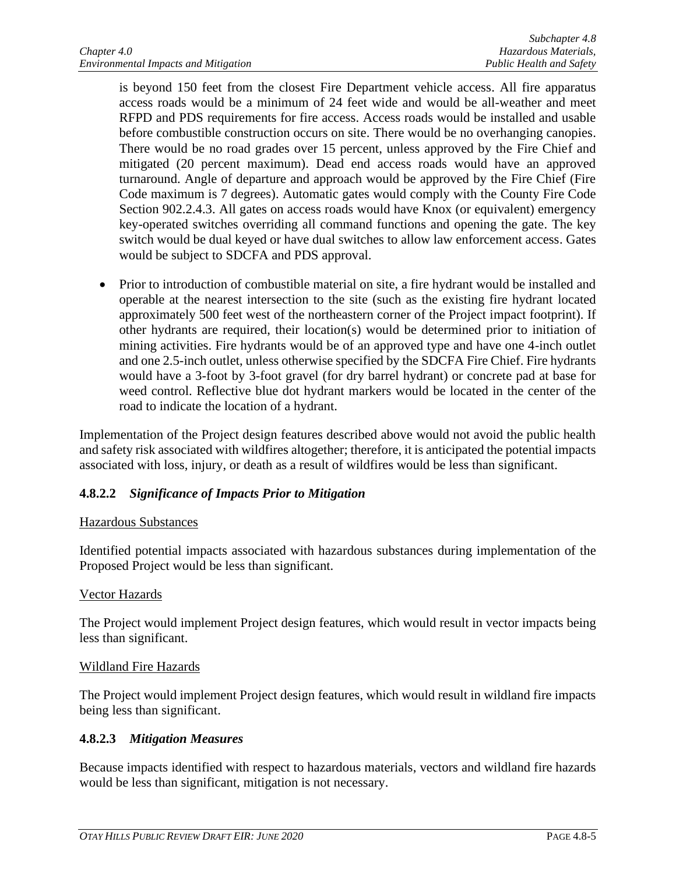is beyond 150 feet from the closest Fire Department vehicle access. All fire apparatus access roads would be a minimum of 24 feet wide and would be all-weather and meet RFPD and PDS requirements for fire access. Access roads would be installed and usable before combustible construction occurs on site. There would be no overhanging canopies. There would be no road grades over 15 percent, unless approved by the Fire Chief and mitigated (20 percent maximum). Dead end access roads would have an approved turnaround. Angle of departure and approach would be approved by the Fire Chief (Fire Code maximum is 7 degrees). Automatic gates would comply with the County Fire Code Section 902.2.4.3. All gates on access roads would have Knox (or equivalent) emergency key-operated switches overriding all command functions and opening the gate. The key switch would be dual keyed or have dual switches to allow law enforcement access. Gates would be subject to SDCFA and PDS approval.

• Prior to introduction of combustible material on site, a fire hydrant would be installed and operable at the nearest intersection to the site (such as the existing fire hydrant located approximately 500 feet west of the northeastern corner of the Project impact footprint). If other hydrants are required, their location(s) would be determined prior to initiation of mining activities. Fire hydrants would be of an approved type and have one 4-inch outlet and one 2.5-inch outlet, unless otherwise specified by the SDCFA Fire Chief. Fire hydrants would have a 3-foot by 3-foot gravel (for dry barrel hydrant) or concrete pad at base for weed control. Reflective blue dot hydrant markers would be located in the center of the road to indicate the location of a hydrant.

Implementation of the Project design features described above would not avoid the public health and safety risk associated with wildfires altogether; therefore, it is anticipated the potential impacts associated with loss, injury, or death as a result of wildfires would be less than significant.

# **4.8.2.2** *Significance of Impacts Prior to Mitigation*

# Hazardous Substances

Identified potential impacts associated with hazardous substances during implementation of the Proposed Project would be less than significant.

# Vector Hazards

The Project would implement Project design features, which would result in vector impacts being less than significant.

# Wildland Fire Hazards

The Project would implement Project design features, which would result in wildland fire impacts being less than significant.

# **4.8.2.3** *Mitigation Measures*

Because impacts identified with respect to hazardous materials, vectors and wildland fire hazards would be less than significant, mitigation is not necessary.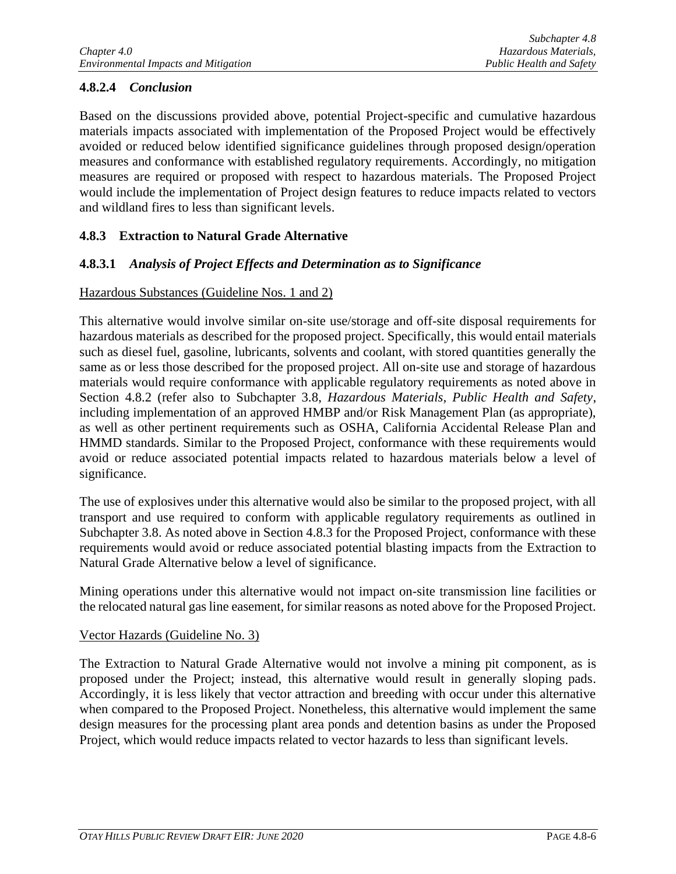# **4.8.2.4** *Conclusion*

Based on the discussions provided above, potential Project-specific and cumulative hazardous materials impacts associated with implementation of the Proposed Project would be effectively avoided or reduced below identified significance guidelines through proposed design/operation measures and conformance with established regulatory requirements. Accordingly, no mitigation measures are required or proposed with respect to hazardous materials. The Proposed Project would include the implementation of Project design features to reduce impacts related to vectors and wildland fires to less than significant levels.

# **4.8.3 Extraction to Natural Grade Alternative**

# **4.8.3.1** *Analysis of Project Effects and Determination as to Significance*

## Hazardous Substances (Guideline Nos. 1 and 2)

This alternative would involve similar on-site use/storage and off-site disposal requirements for hazardous materials as described for the proposed project. Specifically, this would entail materials such as diesel fuel, gasoline, lubricants, solvents and coolant, with stored quantities generally the same as or less those described for the proposed project. All on-site use and storage of hazardous materials would require conformance with applicable regulatory requirements as noted above in Section 4.8.2 (refer also to Subchapter 3.8, *Hazardous Materials, Public Health and Safety*, including implementation of an approved HMBP and/or Risk Management Plan (as appropriate), as well as other pertinent requirements such as OSHA, California Accidental Release Plan and HMMD standards. Similar to the Proposed Project, conformance with these requirements would avoid or reduce associated potential impacts related to hazardous materials below a level of significance.

The use of explosives under this alternative would also be similar to the proposed project, with all transport and use required to conform with applicable regulatory requirements as outlined in Subchapter 3.8. As noted above in Section 4.8.3 for the Proposed Project, conformance with these requirements would avoid or reduce associated potential blasting impacts from the Extraction to Natural Grade Alternative below a level of significance.

Mining operations under this alternative would not impact on-site transmission line facilities or the relocated natural gas line easement, for similar reasons as noted above for the Proposed Project.

#### Vector Hazards (Guideline No. 3)

The Extraction to Natural Grade Alternative would not involve a mining pit component, as is proposed under the Project; instead, this alternative would result in generally sloping pads. Accordingly, it is less likely that vector attraction and breeding with occur under this alternative when compared to the Proposed Project. Nonetheless, this alternative would implement the same design measures for the processing plant area ponds and detention basins as under the Proposed Project, which would reduce impacts related to vector hazards to less than significant levels.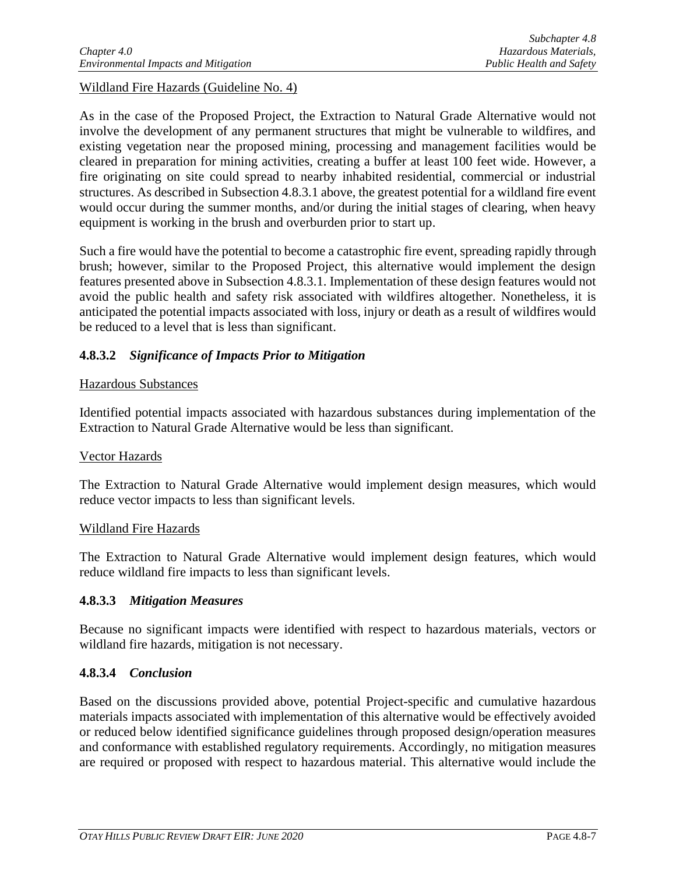Wildland Fire Hazards (Guideline No. 4)

As in the case of the Proposed Project, the Extraction to Natural Grade Alternative would not involve the development of any permanent structures that might be vulnerable to wildfires, and existing vegetation near the proposed mining, processing and management facilities would be cleared in preparation for mining activities, creating a buffer at least 100 feet wide. However, a fire originating on site could spread to nearby inhabited residential, commercial or industrial structures. As described in Subsection 4.8.3.1 above, the greatest potential for a wildland fire event would occur during the summer months, and/or during the initial stages of clearing, when heavy equipment is working in the brush and overburden prior to start up.

Such a fire would have the potential to become a catastrophic fire event, spreading rapidly through brush; however, similar to the Proposed Project, this alternative would implement the design features presented above in Subsection 4.8.3.1. Implementation of these design features would not avoid the public health and safety risk associated with wildfires altogether. Nonetheless, it is anticipated the potential impacts associated with loss, injury or death as a result of wildfires would be reduced to a level that is less than significant.

# **4.8.3.2** *Significance of Impacts Prior to Mitigation*

# Hazardous Substances

Identified potential impacts associated with hazardous substances during implementation of the Extraction to Natural Grade Alternative would be less than significant.

# Vector Hazards

The Extraction to Natural Grade Alternative would implement design measures, which would reduce vector impacts to less than significant levels.

#### Wildland Fire Hazards

The Extraction to Natural Grade Alternative would implement design features, which would reduce wildland fire impacts to less than significant levels.

# **4.8.3.3** *Mitigation Measures*

Because no significant impacts were identified with respect to hazardous materials, vectors or wildland fire hazards, mitigation is not necessary.

# **4.8.3.4** *Conclusion*

Based on the discussions provided above, potential Project-specific and cumulative hazardous materials impacts associated with implementation of this alternative would be effectively avoided or reduced below identified significance guidelines through proposed design/operation measures and conformance with established regulatory requirements. Accordingly, no mitigation measures are required or proposed with respect to hazardous material. This alternative would include the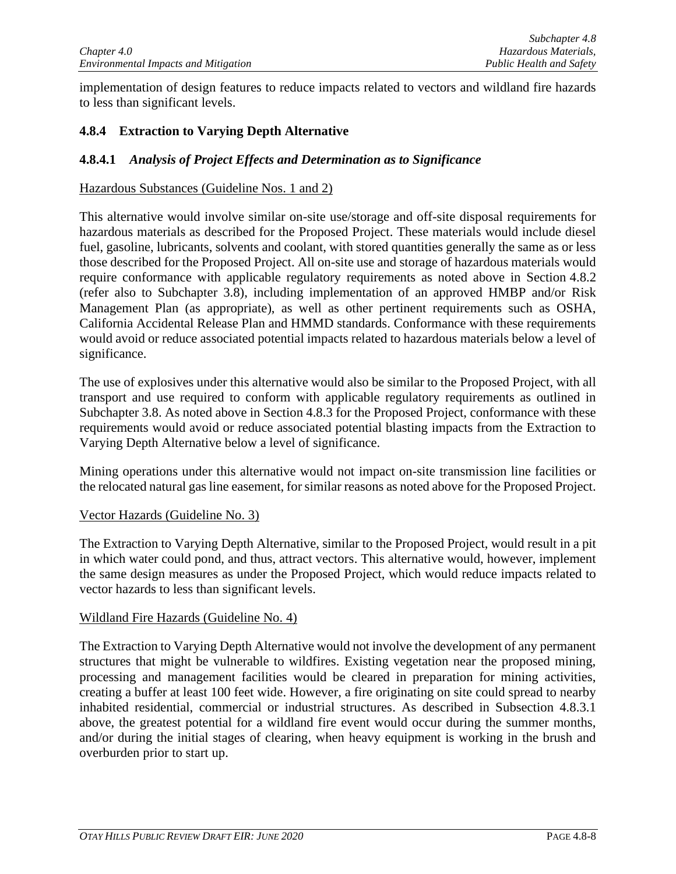implementation of design features to reduce impacts related to vectors and wildland fire hazards to less than significant levels.

# **4.8.4 Extraction to Varying Depth Alternative**

## **4.8.4.1** *Analysis of Project Effects and Determination as to Significance*

#### Hazardous Substances (Guideline Nos. 1 and 2)

This alternative would involve similar on-site use/storage and off-site disposal requirements for hazardous materials as described for the Proposed Project. These materials would include diesel fuel, gasoline, lubricants, solvents and coolant, with stored quantities generally the same as or less those described for the Proposed Project. All on-site use and storage of hazardous materials would require conformance with applicable regulatory requirements as noted above in Section 4.8.2 (refer also to Subchapter 3.8), including implementation of an approved HMBP and/or Risk Management Plan (as appropriate), as well as other pertinent requirements such as OSHA, California Accidental Release Plan and HMMD standards. Conformance with these requirements would avoid or reduce associated potential impacts related to hazardous materials below a level of significance.

The use of explosives under this alternative would also be similar to the Proposed Project, with all transport and use required to conform with applicable regulatory requirements as outlined in Subchapter 3.8. As noted above in Section 4.8.3 for the Proposed Project, conformance with these requirements would avoid or reduce associated potential blasting impacts from the Extraction to Varying Depth Alternative below a level of significance.

Mining operations under this alternative would not impact on-site transmission line facilities or the relocated natural gas line easement, for similar reasons as noted above for the Proposed Project.

#### Vector Hazards (Guideline No. 3)

The Extraction to Varying Depth Alternative, similar to the Proposed Project, would result in a pit in which water could pond, and thus, attract vectors. This alternative would, however, implement the same design measures as under the Proposed Project, which would reduce impacts related to vector hazards to less than significant levels.

#### Wildland Fire Hazards (Guideline No. 4)

The Extraction to Varying Depth Alternative would not involve the development of any permanent structures that might be vulnerable to wildfires. Existing vegetation near the proposed mining, processing and management facilities would be cleared in preparation for mining activities, creating a buffer at least 100 feet wide. However, a fire originating on site could spread to nearby inhabited residential, commercial or industrial structures. As described in Subsection 4.8.3.1 above, the greatest potential for a wildland fire event would occur during the summer months, and/or during the initial stages of clearing, when heavy equipment is working in the brush and overburden prior to start up.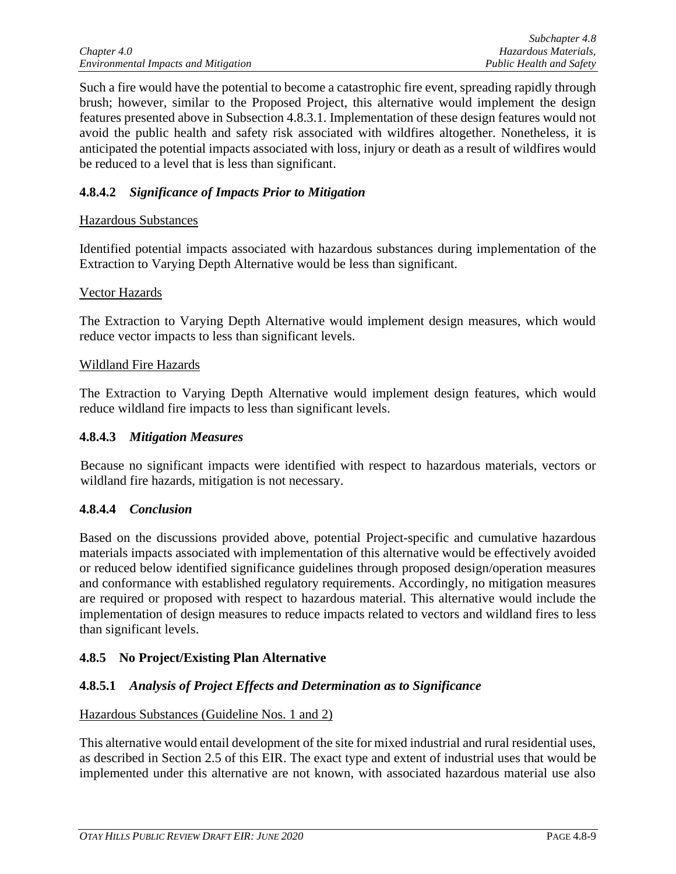Such a fire would have the potential to become a catastrophic fire event, spreading rapidly through brush; however, similar to the Proposed Project, this alternative would implement the design features presented above in Subsection 4.8.3.1. Implementation of these design features would not avoid the public health and safety risk associated with wildfires altogether. Nonetheless, it is anticipated the potential impacts associated with loss, injury or death as a result of wildfires would be reduced to a level that is less than significant.

# **4.8.4.2** *Significance of Impacts Prior to Mitigation*

# Hazardous Substances

Identified potential impacts associated with hazardous substances during implementation of the Extraction to Varying Depth Alternative would be less than significant.

# Vector Hazards

The Extraction to Varying Depth Alternative would implement design measures, which would reduce vector impacts to less than significant levels.

## Wildland Fire Hazards

The Extraction to Varying Depth Alternative would implement design features, which would reduce wildland fire impacts to less than significant levels.

## **4.8.4.3** *Mitigation Measures*

Because no significant impacts were identified with respect to hazardous materials, vectors or wildland fire hazards, mitigation is not necessary.

# **4.8.4.4** *Conclusion*

Based on the discussions provided above, potential Project-specific and cumulative hazardous materials impacts associated with implementation of this alternative would be effectively avoided or reduced below identified significance guidelines through proposed design/operation measures and conformance with established regulatory requirements. Accordingly, no mitigation measures are required or proposed with respect to hazardous material. This alternative would include the implementation of design measures to reduce impacts related to vectors and wildland fires to less than significant levels.

# **4.8.5 No Project/Existing Plan Alternative**

# **4.8.5.1** *Analysis of Project Effects and Determination as to Significance*

# Hazardous Substances (Guideline Nos. 1 and 2)

This alternative would entail development of the site for mixed industrial and rural residential uses, as described in Section 2.5 of this EIR. The exact type and extent of industrial uses that would be implemented under this alternative are not known, with associated hazardous material use also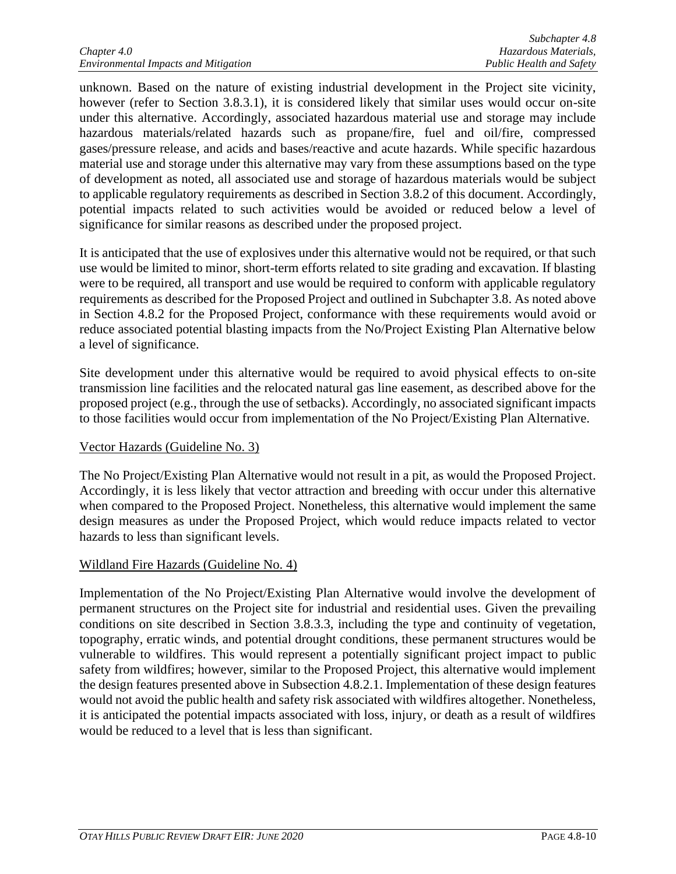unknown. Based on the nature of existing industrial development in the Project site vicinity, however (refer to Section 3.8.3.1), it is considered likely that similar uses would occur on-site under this alternative. Accordingly, associated hazardous material use and storage may include hazardous materials/related hazards such as propane/fire, fuel and oil/fire, compressed gases/pressure release, and acids and bases/reactive and acute hazards. While specific hazardous material use and storage under this alternative may vary from these assumptions based on the type of development as noted, all associated use and storage of hazardous materials would be subject to applicable regulatory requirements as described in Section 3.8.2 of this document. Accordingly, potential impacts related to such activities would be avoided or reduced below a level of significance for similar reasons as described under the proposed project.

It is anticipated that the use of explosives under this alternative would not be required, or that such use would be limited to minor, short-term efforts related to site grading and excavation. If blasting were to be required, all transport and use would be required to conform with applicable regulatory requirements as described for the Proposed Project and outlined in Subchapter 3.8. As noted above in Section 4.8.2 for the Proposed Project, conformance with these requirements would avoid or reduce associated potential blasting impacts from the No/Project Existing Plan Alternative below a level of significance.

Site development under this alternative would be required to avoid physical effects to on-site transmission line facilities and the relocated natural gas line easement, as described above for the proposed project (e.g., through the use of setbacks). Accordingly, no associated significant impacts to those facilities would occur from implementation of the No Project/Existing Plan Alternative.

# Vector Hazards (Guideline No. 3)

The No Project/Existing Plan Alternative would not result in a pit, as would the Proposed Project. Accordingly, it is less likely that vector attraction and breeding with occur under this alternative when compared to the Proposed Project. Nonetheless, this alternative would implement the same design measures as under the Proposed Project, which would reduce impacts related to vector hazards to less than significant levels.

# Wildland Fire Hazards (Guideline No. 4)

Implementation of the No Project/Existing Plan Alternative would involve the development of permanent structures on the Project site for industrial and residential uses. Given the prevailing conditions on site described in Section 3.8.3.3, including the type and continuity of vegetation, topography, erratic winds, and potential drought conditions, these permanent structures would be vulnerable to wildfires. This would represent a potentially significant project impact to public safety from wildfires; however, similar to the Proposed Project, this alternative would implement the design features presented above in Subsection 4.8.2.1. Implementation of these design features would not avoid the public health and safety risk associated with wildfires altogether. Nonetheless, it is anticipated the potential impacts associated with loss, injury, or death as a result of wildfires would be reduced to a level that is less than significant.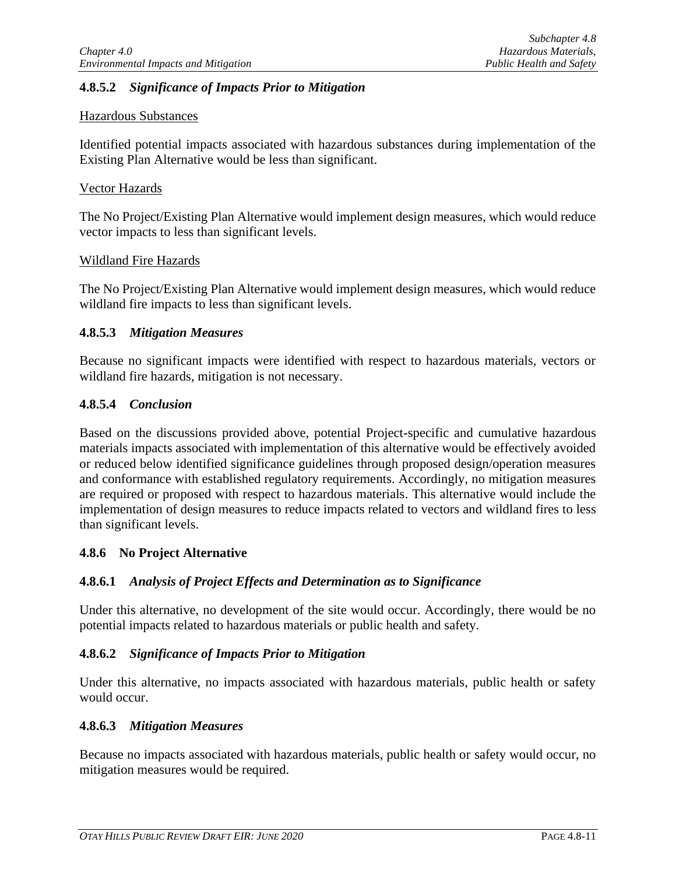# **4.8.5.2** *Significance of Impacts Prior to Mitigation*

## Hazardous Substances

Identified potential impacts associated with hazardous substances during implementation of the Existing Plan Alternative would be less than significant.

## Vector Hazards

The No Project/Existing Plan Alternative would implement design measures, which would reduce vector impacts to less than significant levels.

## Wildland Fire Hazards

The No Project/Existing Plan Alternative would implement design measures, which would reduce wildland fire impacts to less than significant levels.

# **4.8.5.3** *Mitigation Measures*

Because no significant impacts were identified with respect to hazardous materials, vectors or wildland fire hazards, mitigation is not necessary.

# **4.8.5.4** *Conclusion*

Based on the discussions provided above, potential Project-specific and cumulative hazardous materials impacts associated with implementation of this alternative would be effectively avoided or reduced below identified significance guidelines through proposed design/operation measures and conformance with established regulatory requirements. Accordingly, no mitigation measures are required or proposed with respect to hazardous materials. This alternative would include the implementation of design measures to reduce impacts related to vectors and wildland fires to less than significant levels.

# **4.8.6 No Project Alternative**

# **4.8.6.1** *Analysis of Project Effects and Determination as to Significance*

Under this alternative, no development of the site would occur. Accordingly, there would be no potential impacts related to hazardous materials or public health and safety.

#### **4.8.6.2** *Significance of Impacts Prior to Mitigation*

Under this alternative, no impacts associated with hazardous materials, public health or safety would occur.

#### **4.8.6.3** *Mitigation Measures*

Because no impacts associated with hazardous materials, public health or safety would occur, no mitigation measures would be required.